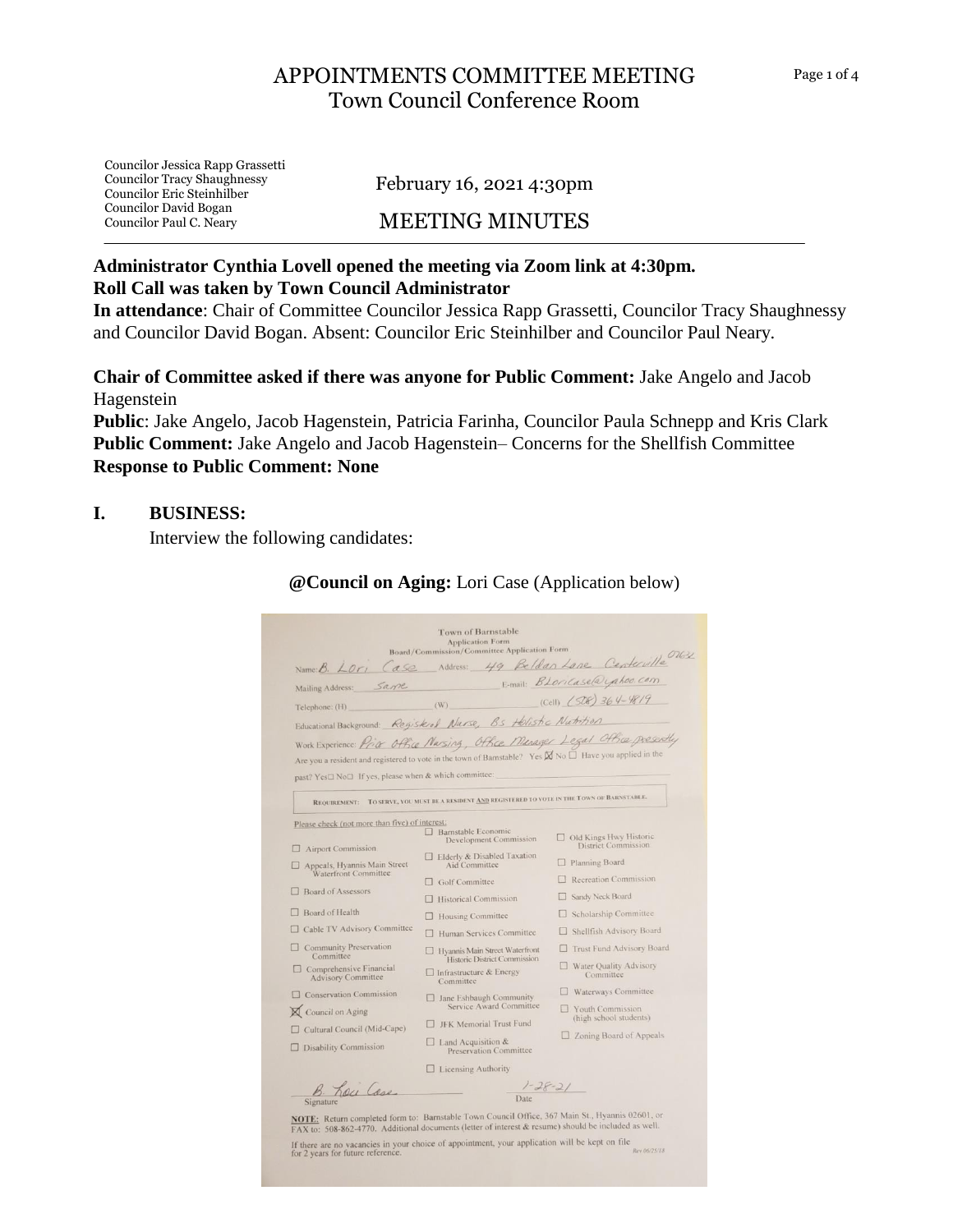# APPOINTMENTS COMMITTEE MEETING Town Council Conference Room

Councilor Jessica Rapp Grassetti Councilor Tracy Shaughnessy Councilor Eric Steinhilber Councilor David Bogan Councilor Paul C. Neary

February 16, 2021 4:30pm

## MEETING MINUTES

#### **Administrator Cynthia Lovell opened the meeting via Zoom link at 4:30pm. Roll Call was taken by Town Council Administrator**

**In attendance**: Chair of Committee Councilor Jessica Rapp Grassetti, Councilor Tracy Shaughnessy and Councilor David Bogan. Absent: Councilor Eric Steinhilber and Councilor Paul Neary.

**Chair of Committee asked if there was anyone for Public Comment:** Jake Angelo and Jacob Hagenstein

**Public**: Jake Angelo, Jacob Hagenstein, Patricia Farinha, Councilor Paula Schnepp and Kris Clark **Public Comment:** Jake Angelo and Jacob Hagenstein– Concerns for the Shellfish Committee **Response to Public Comment: None**

#### **I. BUSINESS:**

Interview the following candidates:

| Are you a resident and registered to vote in the town of Barnstable? Yes $\boxtimes$ No $\Box$ Have you applied in the<br>past? Yes□ No□ If yes, please when & which committee: |                                                                                                                                                                        |
|---------------------------------------------------------------------------------------------------------------------------------------------------------------------------------|------------------------------------------------------------------------------------------------------------------------------------------------------------------------|
| REQUIREMENT: TO SERVE, YOU MUST BE A RESIDENT AND REGISTERED TO VOTE IN THE TOWN OF BARNSTABLE.                                                                                 |                                                                                                                                                                        |
| Please check (not more than five) of interest:<br>Barnstable Economic                                                                                                           | Old Kings Hwy Historic                                                                                                                                                 |
|                                                                                                                                                                                 | <b>District Commission</b>                                                                                                                                             |
| Aid Committee                                                                                                                                                                   | Planning Board                                                                                                                                                         |
| $\Box$ Golf Committee                                                                                                                                                           | Recreation Commission                                                                                                                                                  |
| <b>THistorical Commission</b>                                                                                                                                                   | Sandy Neck Board                                                                                                                                                       |
| $\Box$ Housing Committee                                                                                                                                                        | Scholarship Committee                                                                                                                                                  |
| Human Services Committee<br>$\Box$                                                                                                                                              | Shellfish Advisory Board                                                                                                                                               |
| □ Hyannis Main Street Waterfront                                                                                                                                                | Trust Fund Advisory Board                                                                                                                                              |
| $\Box$ Infrastructure & Energy                                                                                                                                                  | Water Quality Advisory<br>Committee                                                                                                                                    |
|                                                                                                                                                                                 | □ Waterways Committee                                                                                                                                                  |
| Service Award Committee                                                                                                                                                         | Vouth Commission                                                                                                                                                       |
| <b>JFK Memorial Trust Fund</b>                                                                                                                                                  | (high school students)                                                                                                                                                 |
| $\Box$ Land Acquisition &<br><b>Preservation Committee</b>                                                                                                                      | $\Box$ Zoning Board of Appeals                                                                                                                                         |
|                                                                                                                                                                                 |                                                                                                                                                                        |
| $\frac{7-28-21}{\text{Date}}$                                                                                                                                                   |                                                                                                                                                                        |
|                                                                                                                                                                                 | <b>Development Commission</b><br>□ Elderly & Disabled Taxation<br>Historic District Commission<br>Committee<br>□ Jane Eshbaugh Community<br>$\Box$ Licensing Authority |

#### **@Council on Aging:** Lori Case (Application below)

If there are no vacancies in your choice of appointment, your application will be kept on file<br>for 2 years for future reference. **Rev. 06/25/18**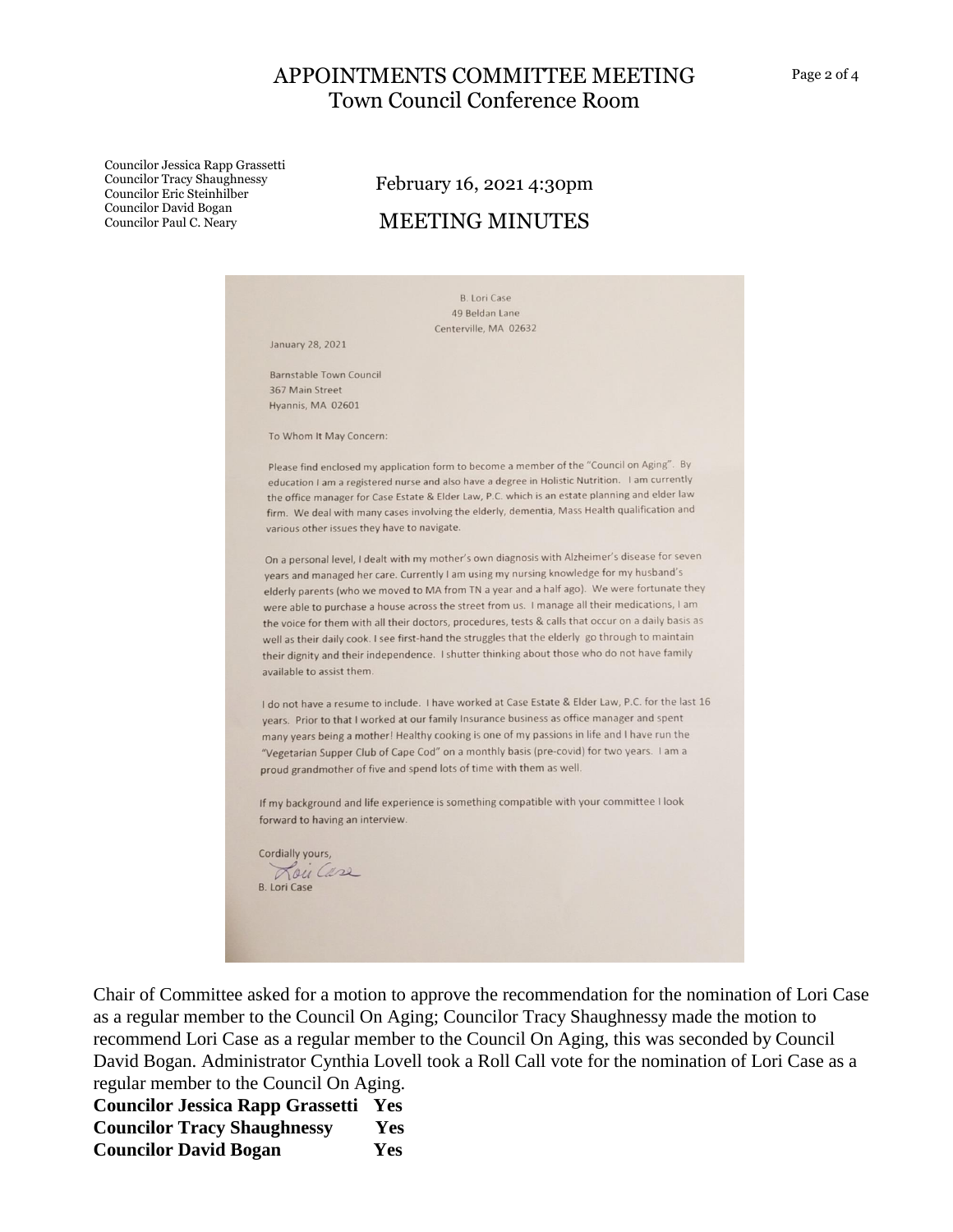## APPOINTMENTS COMMITTEE MEETING Town Council Conference Room

Councilor Jessica Rapp Grassetti Councilor Tracy Shaughnessy Councilor Eric Steinhilber Councilor David Bogan Councilor Paul C. Neary

# February 16, 2021 4:30pm MEETING MINUTES



Chair of Committee asked for a motion to approve the recommendation for the nomination of Lori Case as a regular member to the Council On Aging; Councilor Tracy Shaughnessy made the motion to recommend Lori Case as a regular member to the Council On Aging, this was seconded by Council David Bogan. Administrator Cynthia Lovell took a Roll Call vote for the nomination of Lori Case as a regular member to the Council On Aging.

**Councilor Jessica Rapp Grassetti Yes Councilor Tracy Shaughnessy Yes Councilor David Bogan Yes**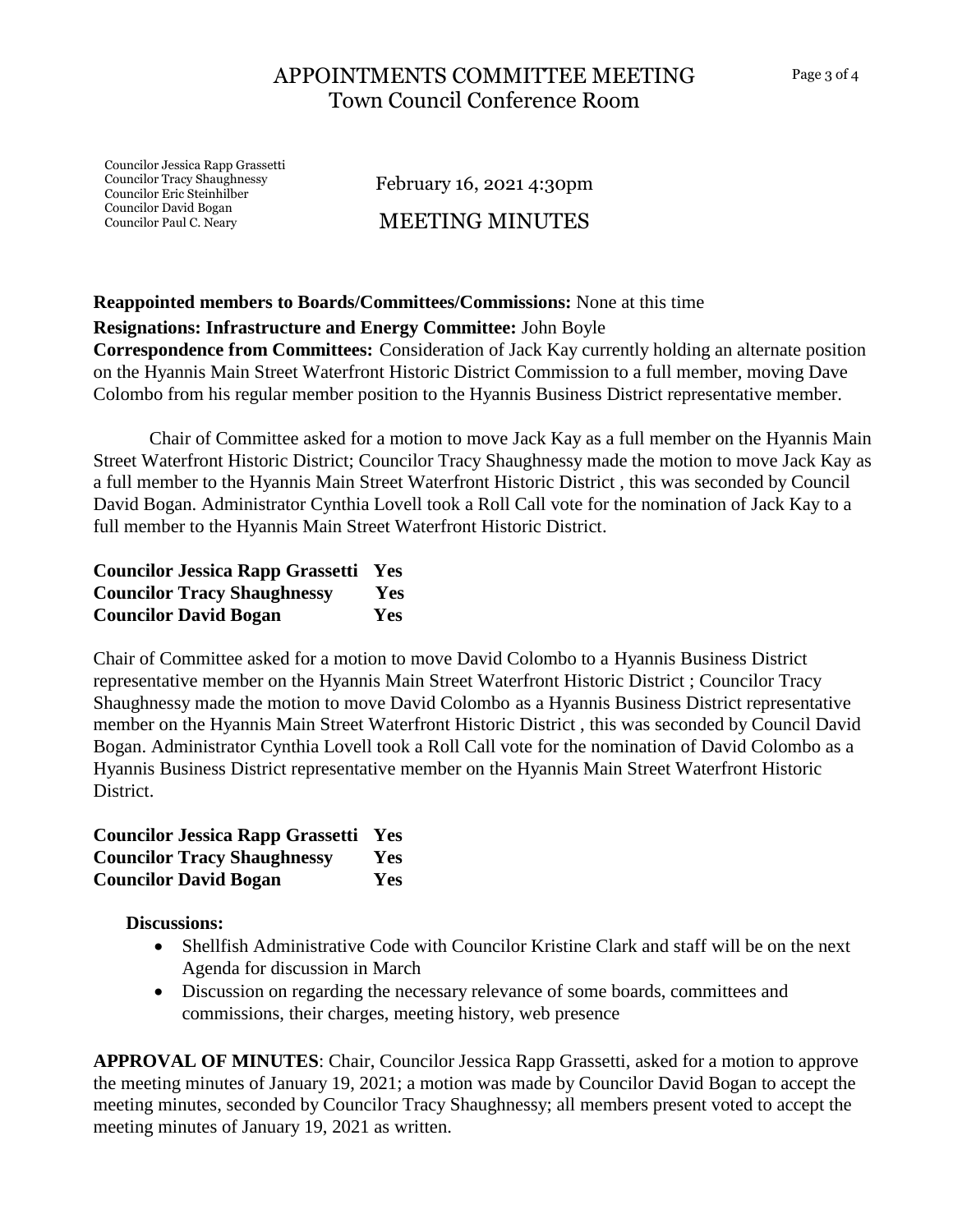Councilor Jessica Rapp Grassetti Councilor Tracy Shaughnessy Councilor Eric Steinhilber Councilor David Bogan Councilor Paul C. Neary

February 16, 2021 4:30pm MEETING MINUTES

## **Reappointed members to Boards/Committees/Commissions:** None at this time

### **Resignations: Infrastructure and Energy Committee:** John Boyle

**Correspondence from Committees:** Consideration of Jack Kay currently holding an alternate position on the Hyannis Main Street Waterfront Historic District Commission to a full member, moving Dave Colombo from his regular member position to the Hyannis Business District representative member.

Chair of Committee asked for a motion to move Jack Kay as a full member on the Hyannis Main Street Waterfront Historic District; Councilor Tracy Shaughnessy made the motion to move Jack Kay as a full member to the Hyannis Main Street Waterfront Historic District , this was seconded by Council David Bogan. Administrator Cynthia Lovell took a Roll Call vote for the nomination of Jack Kay to a full member to the Hyannis Main Street Waterfront Historic District.

| <b>Councilor Jessica Rapp Grassetti Yes</b> |            |
|---------------------------------------------|------------|
| <b>Councilor Tracy Shaughnessy</b>          | <b>Yes</b> |
| <b>Councilor David Bogan</b>                | <b>Yes</b> |

Chair of Committee asked for a motion to move David Colombo to a Hyannis Business District representative member on the Hyannis Main Street Waterfront Historic District ; Councilor Tracy Shaughnessy made the motion to move David Colombo as a Hyannis Business District representative member on the Hyannis Main Street Waterfront Historic District , this was seconded by Council David Bogan. Administrator Cynthia Lovell took a Roll Call vote for the nomination of David Colombo as a Hyannis Business District representative member on the Hyannis Main Street Waterfront Historic District.

| <b>Councilor Jessica Rapp Grassetti Yes</b> |            |
|---------------------------------------------|------------|
| <b>Councilor Tracy Shaughnessy</b>          | <b>Yes</b> |
| <b>Councilor David Bogan</b>                | <b>Yes</b> |

**Discussions:** 

- Shellfish Administrative Code with Councilor Kristine Clark and staff will be on the next Agenda for discussion in March
- Discussion on regarding the necessary relevance of some boards, committees and commissions, their charges, meeting history, web presence

**APPROVAL OF MINUTES**: Chair, Councilor Jessica Rapp Grassetti, asked for a motion to approve the meeting minutes of January 19, 2021; a motion was made by Councilor David Bogan to accept the meeting minutes, seconded by Councilor Tracy Shaughnessy; all members present voted to accept the meeting minutes of January 19, 2021 as written.